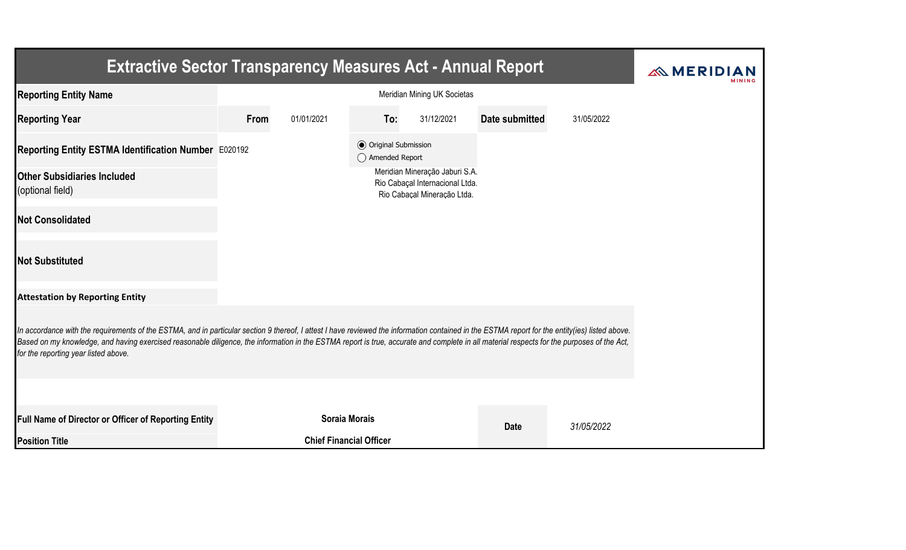| <b>Extractive Sector Transparency Measures Act - Annual Report</b>                                                                                                                                                                                                                                                                                                                                                                    |                             |                                |                                                  |                                                                                                  |                |            |  |  |
|---------------------------------------------------------------------------------------------------------------------------------------------------------------------------------------------------------------------------------------------------------------------------------------------------------------------------------------------------------------------------------------------------------------------------------------|-----------------------------|--------------------------------|--------------------------------------------------|--------------------------------------------------------------------------------------------------|----------------|------------|--|--|
| <b>Reporting Entity Name</b>                                                                                                                                                                                                                                                                                                                                                                                                          | Meridian Mining UK Societas |                                |                                                  |                                                                                                  |                |            |  |  |
| <b>Reporting Year</b>                                                                                                                                                                                                                                                                                                                                                                                                                 | From                        | 01/01/2021                     | To:                                              | 31/12/2021                                                                                       | Date submitted | 31/05/2022 |  |  |
| Reporting Entity ESTMA Identification Number E020192                                                                                                                                                                                                                                                                                                                                                                                  |                             |                                | <b>⊙</b> Original Submission<br>◯ Amended Report |                                                                                                  |                |            |  |  |
| <b>Other Subsidiaries Included</b><br>(optional field)                                                                                                                                                                                                                                                                                                                                                                                |                             |                                |                                                  | Meridian Mineração Jaburi S.A.<br>Rio Cabaçal Internacional Ltda.<br>Rio Cabaçal Mineração Ltda. |                |            |  |  |
| <b>Not Consolidated</b>                                                                                                                                                                                                                                                                                                                                                                                                               |                             |                                |                                                  |                                                                                                  |                |            |  |  |
| <b>Not Substituted</b>                                                                                                                                                                                                                                                                                                                                                                                                                |                             |                                |                                                  |                                                                                                  |                |            |  |  |
| <b>Attestation by Reporting Entity</b>                                                                                                                                                                                                                                                                                                                                                                                                |                             |                                |                                                  |                                                                                                  |                |            |  |  |
| In accordance with the requirements of the ESTMA, and in particular section 9 thereof, I attest I have reviewed the information contained in the ESTMA report for the entity(ies) listed above.<br>Based on my knowledge, and having exercised reasonable diligence, the information in the ESTMA report is true, accurate and complete in all material respects for the purposes of the Act,<br>for the reporting year listed above. |                             |                                |                                                  |                                                                                                  |                |            |  |  |
|                                                                                                                                                                                                                                                                                                                                                                                                                                       |                             |                                |                                                  |                                                                                                  |                |            |  |  |
| Full Name of Director or Officer of Reporting Entity                                                                                                                                                                                                                                                                                                                                                                                  |                             | <b>Soraia Morais</b>           |                                                  |                                                                                                  | <b>Date</b>    | 31/05/2022 |  |  |
| <b>Position Title</b>                                                                                                                                                                                                                                                                                                                                                                                                                 |                             | <b>Chief Financial Officer</b> |                                                  |                                                                                                  |                |            |  |  |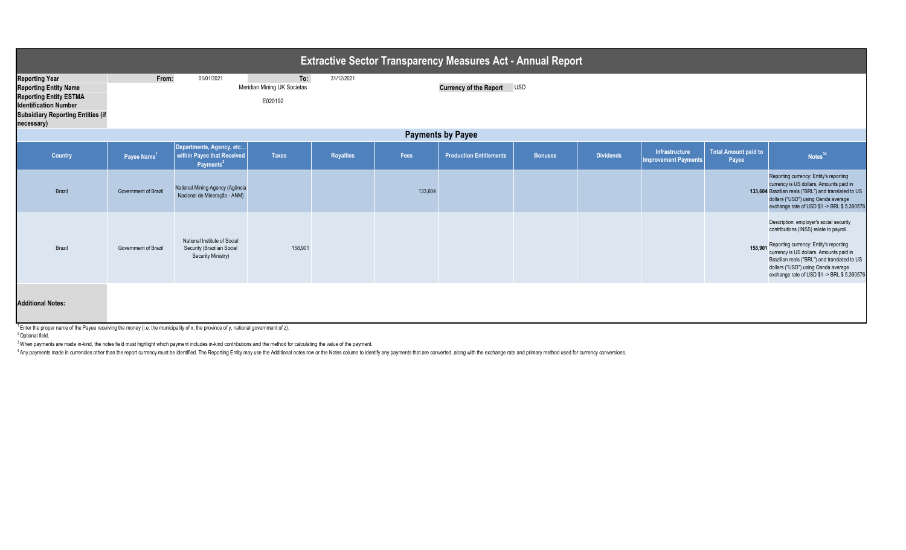| <b>Extractive Sector Transparency Measures Act - Annual Report</b>                                                                                                               |                         |                                                                                         |                                               |                  |         |                                   |                |                  |                                               |                                      |                                                                                                                                                                                                                                                                                                                       |
|----------------------------------------------------------------------------------------------------------------------------------------------------------------------------------|-------------------------|-----------------------------------------------------------------------------------------|-----------------------------------------------|------------------|---------|-----------------------------------|----------------|------------------|-----------------------------------------------|--------------------------------------|-----------------------------------------------------------------------------------------------------------------------------------------------------------------------------------------------------------------------------------------------------------------------------------------------------------------------|
| <b>Reporting Year</b><br><b>Reporting Entity Name</b><br><b>Reporting Entity ESTMA</b><br><b>Identification Number</b><br><b>Subsidiary Reporting Entities (if</b><br>necessary) | From:                   | 01/01/2021                                                                              | To:<br>Meridian Mining UK Societas<br>E020192 | 31/12/2021       |         | <b>Currency of the Report USD</b> |                |                  |                                               |                                      |                                                                                                                                                                                                                                                                                                                       |
| <b>Payments by Payee</b>                                                                                                                                                         |                         |                                                                                         |                                               |                  |         |                                   |                |                  |                                               |                                      |                                                                                                                                                                                                                                                                                                                       |
| <b>Country</b>                                                                                                                                                                   | Payee Name <sup>1</sup> | Departments, Agency, etc<br>within Payee that Received<br>Payments <sup>2</sup>         | <b>Taxes</b>                                  | <b>Royalties</b> | Fees    | <b>Production Entitlements</b>    | <b>Bonuses</b> | <b>Dividends</b> | Infrastructure<br><b>Improvement Payments</b> | <b>Total Amount paid to</b><br>Payee | Notes <sup>34</sup>                                                                                                                                                                                                                                                                                                   |
| Brazil                                                                                                                                                                           | Government of Brazil    | National Mining Agency (Agência<br>Nacional de Mineração - ANM)                         |                                               |                  | 133,604 |                                   |                |                  |                                               |                                      | Reporting currency: Entity's reporting<br>currency is US dollars. Amounts paid in<br>133,604 Brazilian reals ("BRL") and translated to US<br>dollars ("USD") using Oanda average<br>exchange rate of USD \$1 -> BRL \$ 5.390576                                                                                       |
| Brazil                                                                                                                                                                           | Government of Brazil    | National Institute of Social<br>Security (Brazilian Social<br><b>Security Ministry)</b> | 158,901                                       |                  |         |                                   |                |                  |                                               |                                      | Description: employer's social security<br>contributions (INSS) relate to payroll.<br>158,901 Reporting currency: Entity's reporting<br>currency is US dollars. Amounts paid in<br>Brazilian reals ("BRL") and translated to US<br>dollars ("USD") using Oanda average<br>exchange rate of USD \$1 -> BRL \$ 5.390576 |
| <b>Additional Notes:</b>                                                                                                                                                         |                         |                                                                                         |                                               |                  |         |                                   |                |                  |                                               |                                      |                                                                                                                                                                                                                                                                                                                       |

<sup>1</sup> Enter the proper name of the Payee receiving the money (i.e. the municipality of x, the province of y, national government of z).

<sup>2</sup> Optional field.

<sup>3</sup> When payments are made in-kind, the notes field must highlight which payment includes in-kind contributions and the method for calculating the value of the payment.

<sup>4</sup> Any payments made in currencies other than the report currency must be identified. The Reporting Entity may use the Additional notes row or the Notes column to identify any payments that are converted, along with the e